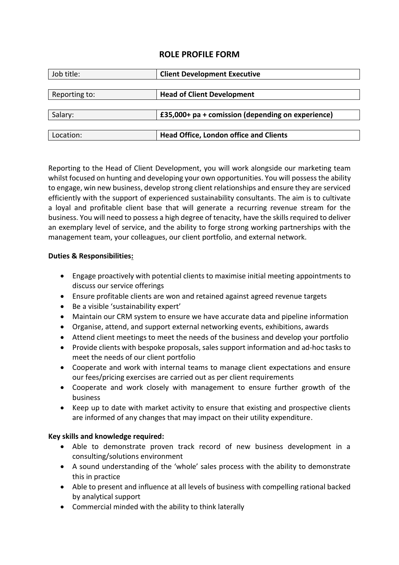# **ROLE PROFILE FORM**

| Job title:    | <b>Client Development Executive</b>               |
|---------------|---------------------------------------------------|
|               |                                                   |
| Reporting to: | <b>Head of Client Development</b>                 |
|               |                                                   |
| Salary:       | £35,000+ pa + comission (depending on experience) |
|               |                                                   |
| Location:     | <b>Head Office, London office and Clients</b>     |

Reporting to the Head of Client Development, you will work alongside our marketing team whilst focused on hunting and developing your own opportunities. You will possess the ability to engage, win new business, develop strong client relationships and ensure they are serviced efficiently with the support of experienced sustainability consultants. The aim is to cultivate a loyal and profitable client base that will generate a recurring revenue stream for the business. You will need to possess a high degree of tenacity, have the skills required to deliver an exemplary level of service, and the ability to forge strong working partnerships with the management team, your colleagues, our client portfolio, and external network.

### **Duties & Responsibilities:**

- Engage proactively with potential clients to maximise initial meeting appointments to discuss our service offerings
- Ensure profitable clients are won and retained against agreed revenue targets
- Be a visible 'sustainability expert'
- Maintain our CRM system to ensure we have accurate data and pipeline information
- Organise, attend, and support external networking events, exhibitions, awards
- Attend client meetings to meet the needs of the business and develop your portfolio
- Provide clients with bespoke proposals, sales support information and ad-hoc tasks to meet the needs of our client portfolio
- Cooperate and work with internal teams to manage client expectations and ensure our fees/pricing exercises are carried out as per client requirements
- Cooperate and work closely with management to ensure further growth of the business
- Keep up to date with market activity to ensure that existing and prospective clients are informed of any changes that may impact on their utility expenditure.

## **Key skills and knowledge required:**

- Able to demonstrate proven track record of new business development in a consulting/solutions environment
- A sound understanding of the 'whole' sales process with the ability to demonstrate this in practice
- Able to present and influence at all levels of business with compelling rational backed by analytical support
- Commercial minded with the ability to think laterally